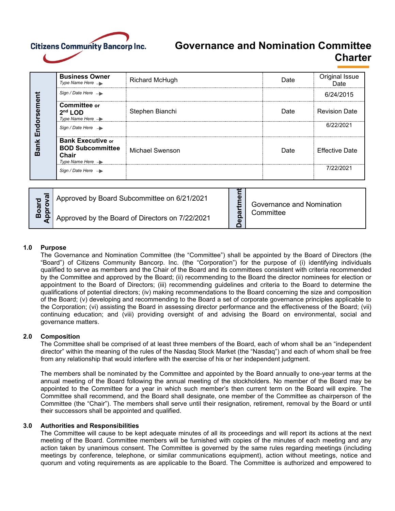

# **Governance and Nomination Committee Charter**

| ment<br>$\bar{\mathbf{e}}$<br>Endor<br>ank | <b>Business Owner</b><br>Type Name Here $\rightarrow$                                        | <b>Richard McHugh</b> | Date | Original Issue<br>Date |
|--------------------------------------------|----------------------------------------------------------------------------------------------|-----------------------|------|------------------------|
|                                            | Sign / Date Here $\rightarrow$                                                               |                       |      | 6/24/2015              |
|                                            | Committee or<br>$2nd$ LOD<br>Type Name Here $\rightarrow$                                    | Stephen Bianchi       | Date | <b>Revision Date</b>   |
|                                            | Sign / Date Here $\rightarrow$                                                               |                       |      | 6/22/2021              |
|                                            | <b>Bank Executive or</b><br><b>BOD Subcommittee</b><br>Chair<br>Type Name Here $\rightarrow$ | Michael Swenson       | Date | <b>Effective Date</b>  |
|                                            | Sign / Date Here $\rightarrow$                                                               |                       |      | 7/22/2021              |

| ಹ<br>$\tilde{a}$ | Approved by Board Subcommittee on 6/21/2021     | $\mathbf{Q}$                      | Governance and Nomination |
|------------------|-------------------------------------------------|-----------------------------------|---------------------------|
|                  | Approved by the Board of Directors on 7/22/2021 | ω<br>$\overline{\mathbf{c}}$<br>n | ∵ommittee                 |

## **1.0 Purpose**

The Governance and Nomination Committee (the "Committee") shall be appointed by the Board of Directors (the "Board") of Citizens Community Bancorp. Inc. (the "Corporation") for the purpose of (i) identifying individuals qualified to serve as members and the Chair of the Board and its committees consistent with criteria recommended by the Committee and approved by the Board; (ii) recommending to the Board the director nominees for election or appointment to the Board of Directors; (iii) recommending guidelines and criteria to the Board to determine the qualifications of potential directors; (iv) making recommendations to the Board concerning the size and composition of the Board; (v) developing and recommending to the Board a set of corporate governance principles applicable to the Corporation; (vi) assisting the Board in assessing director performance and the effectiveness of the Board; (vii) continuing education; and (viii) providing oversight of and advising the Board on environmental, social and governance matters.

## **2.0 Composition**

The Committee shall be comprised of at least three members of the Board, each of whom shall be an "independent director" within the meaning of the rules of the Nasdaq Stock Market (the "Nasdaq") and each of whom shall be free from any relationship that would interfere with the exercise of his or her independent judgment.

The members shall be nominated by the Committee and appointed by the Board annually to one-year terms at the annual meeting of the Board following the annual meeting of the stockholders. No member of the Board may be appointed to the Committee for a year in which such member's then current term on the Board will expire. The Committee shall recommend, and the Board shall designate, one member of the Committee as chairperson of the Committee (the "Chair"). The members shall serve until their resignation, retirement, removal by the Board or until their successors shall be appointed and qualified.

## **3.0 Authorities and Responsibilities**

The Committee will cause to be kept adequate minutes of all its proceedings and will report its actions at the next meeting of the Board. Committee members will be furnished with copies of the minutes of each meeting and any action taken by unanimous consent. The Committee is governed by the same rules regarding meetings (including meetings by conference, telephone, or similar communications equipment), action without meetings, notice and quorum and voting requirements as are applicable to the Board. The Committee is authorized and empowered to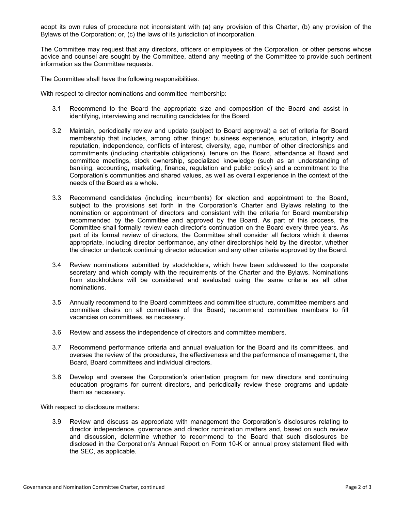adopt its own rules of procedure not inconsistent with (a) any provision of this Charter, (b) any provision of the Bylaws of the Corporation; or, (c) the laws of its jurisdiction of incorporation.

The Committee may request that any directors, officers or employees of the Corporation, or other persons whose advice and counsel are sought by the Committee, attend any meeting of the Committee to provide such pertinent information as the Committee requests.

The Committee shall have the following responsibilities.

With respect to director nominations and committee membership:

- 3.1 Recommend to the Board the appropriate size and composition of the Board and assist in identifying, interviewing and recruiting candidates for the Board.
- 3.2 Maintain, periodically review and update (subject to Board approval) a set of criteria for Board membership that includes, among other things: business experience, education, integrity and reputation, independence, conflicts of interest, diversity, age, number of other directorships and commitments (including charitable obligations), tenure on the Board, attendance at Board and committee meetings, stock ownership, specialized knowledge (such as an understanding of banking, accounting, marketing, finance, regulation and public policy) and a commitment to the Corporation's communities and shared values, as well as overall experience in the context of the needs of the Board as a whole.
- 3.3 Recommend candidates (including incumbents) for election and appointment to the Board, subject to the provisions set forth in the Corporation's Charter and Bylaws relating to the nomination or appointment of directors and consistent with the criteria for Board membership recommended by the Committee and approved by the Board. As part of this process, the Committee shall formally review each director's continuation on the Board every three years. As part of its formal review of directors, the Committee shall consider all factors which it deems appropriate, including director performance, any other directorships held by the director, whether the director undertook continuing director education and any other criteria approved by the Board.
- 3.4 Review nominations submitted by stockholders, which have been addressed to the corporate secretary and which comply with the requirements of the Charter and the Bylaws. Nominations from stockholders will be considered and evaluated using the same criteria as all other nominations.
- 3.5 Annually recommend to the Board committees and committee structure, committee members and committee chairs on all committees of the Board; recommend committee members to fill vacancies on committees, as necessary.
- 3.6 Review and assess the independence of directors and committee members.
- 3.7 Recommend performance criteria and annual evaluation for the Board and its committees, and oversee the review of the procedures, the effectiveness and the performance of management, the Board, Board committees and individual directors.
- 3.8 Develop and oversee the Corporation's orientation program for new directors and continuing education programs for current directors, and periodically review these programs and update them as necessary.

With respect to disclosure matters:

3.9 Review and discuss as appropriate with management the Corporation's disclosures relating to director independence, governance and director nomination matters and, based on such review and discussion, determine whether to recommend to the Board that such disclosures be disclosed in the Corporation's Annual Report on Form 10-K or annual proxy statement filed with the SEC, as applicable.